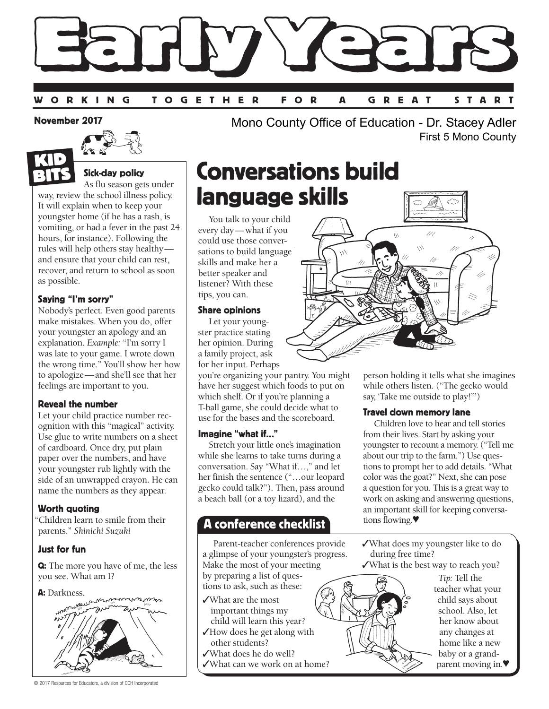

#### November 2017



### Sick-day policy

As flu season gets under way, review the school illness policy. It will explain when to keep your youngster home (if he has a rash, is vomiting, or had a fever in the past 24 hours, for instance). Following the rules will help others stay healthy and ensure that your child can rest, recover, and return to school as soon as possible.

#### Saying "I'm sorry"

Nobody's perfect. Even good parents make mistakes. When you do, offer your youngster an apology and an explanation. *Example:* "I'm sorry I was late to your game. I wrote down the wrong time." You'll show her how to apologize—and she'll see that her feelings are important to you.

#### Reveal the number

Let your child practice number recognition with this "magical" activity. Use glue to write numbers on a sheet of cardboard. Once dry, put plain paper over the numbers, and have your youngster rub lightly with the side of an unwrapped crayon. He can name the numbers as they appear.

#### Worth quoting

"Children learn to smile from their parents." *Shinichi Suzuki*

#### Just for fun

Q: The more you have of me, the less you see. What am I?





© 2017 Resources for Educators, a division of CCH Incorporated

Mono County Office of Education - Dr. Stacey Adler First 5 Mono County

# Conversations build language skills

You talk to your child every day—what if you could use those conversations to build language skills and make her a better speaker and listener? With these tips, you can.

#### Share opinions

Let your youngster practice stating her opinion. During a family project, ask for her input. Perhaps

you're organizing your pantry. You might have her suggest which foods to put on which shelf. Or if you're planning a T-ball game, she could decide what to use for the bases and the scoreboard.

#### Imagine "what if…"

Stretch your little one's imagination while she learns to take turns during a conversation. Say "What if…," and let her finish the sentence ("…our leopard gecko could talk?"). Then, pass around a beach ball (or a toy lizard), and the

### A conference checklist

Parent-teacher conferences provide a glimpse of your youngster's progress. Make the most of your meeting by preparing a list of questions to ask, such as these:

- ✓What are the most important things my
- child will learn this year? ✓How does he get along with other students?
- ✓What does he do well?
- ✓What can we work on at home?



person holding it tells what she imagines while others listen. ("The gecko would say, 'Take me outside to play!'")

#### Travel down memory lane

Children love to hear and tell stories from their lives. Start by asking your youngster to recount a memory. ("Tell me about our trip to the farm.") Use questions to prompt her to add details. "What color was the goat?" Next, she can pose a question for you. This is a great way to work on asking and answering questions, an important skill for keeping conversations flowing.♥

✓What does my youngster like to do during free time?

✓What is the best way to reach you?



*Tip:* Tell the teacher what your child says about school. Also, let her know about any changes at home like a new baby or a grandparent moving in.♥